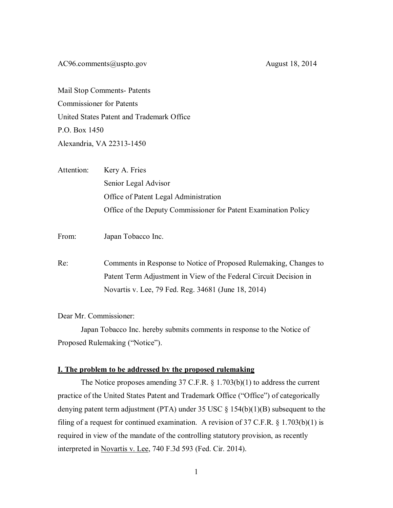[AC96.comments@uspto.gov](mailto:AC96.comments@uspto.gov) August 18, 2014

Mail Stop Comments- Patents Commissioner for Patents United States Patent and Trademark Office P.O. Box 1450 Alexandria, VA 22313-1450

| Attention: | Kery A. Fries                                                   |
|------------|-----------------------------------------------------------------|
|            | Senior Legal Advisor                                            |
|            | Office of Patent Legal Administration                           |
|            | Office of the Deputy Commissioner for Patent Examination Policy |
|            |                                                                 |

From: Japan Tobacco Inc.

Re: Comments in Response to Notice of Proposed Rulemaking, Changes to Patent Term Adjustment in View of the Federal Circuit Decision in Novartis v. Lee, 79 Fed. Reg. 34681 (June 18, 2014)

Dear Mr. Commissioner:

Japan Tobacco Inc. hereby submits comments in response to the Notice of Proposed Rulemaking ("Notice").

## **I. The problem to be addressed by the proposed rulemaking**

The Notice proposes amending 37 C.F.R. § 1.703(b)(1) to address the current practice of the United States Patent and Trademark Office ("Office") of categorically denying patent term adjustment (PTA) under 35 USC § 154(b)(1)(B) subsequent to the filing of a request for continued examination. A revision of  $37 \text{ C.F.R. }$  § 1.703(b)(1) is required in view of the mandate of the controlling statutory provision, as recently interpreted in Novartis v. Lee, 740 F.3d 593 (Fed. Cir. 2014).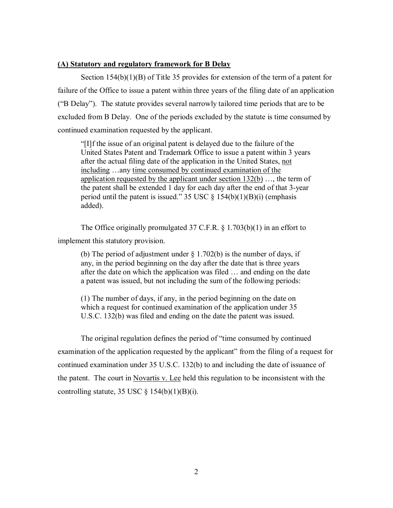# **(A) Statutory and regulatory framework for B Delay**

Section 154(b)(1)(B) of Title 35 provides for extension of the term of a patent for failure of the Office to issue a patent within three years of the filing date of an application ("B Delay"). The statute provides several narrowly tailored time periods that are to be excluded from B Delay. One of the periods excluded by the statute is time consumed by continued examination requested by the applicant.

"[I]f the issue of an original patent is delayed due to the failure of the United States Patent and Trademark Office to issue a patent within 3 years after the actual filing date of the application in the United States, not including …any time consumed by continued examination of the application requested by the applicant under section  $132(b)$  ..., the term of the patent shall be extended 1 day for each day after the end of that 3-year period until the patent is issued." 35 USC  $\S$  154(b)(1)(B)(i) (emphasis added).

The Office originally promulgated 37 C.F.R. § 1.703(b)(1) in an effort to implement this statutory provision.

(b) The period of adjustment under  $\S$  1.702(b) is the number of days, if any, in the period beginning on the day after the date that is three years after the date on which the application was filed … and ending on the date a patent was issued, but not including the sum of the following periods:

(1) The number of days, if any, in the period beginning on the date on which a request for continued examination of the application under 35 U.S.C. 132(b) was filed and ending on the date the patent was issued.

The original regulation defines the period of "time consumed by continued examination of the application requested by the applicant" from the filing of a request for continued examination under 35 U.S.C. 132(b) to and including the date of issuance of the patent. The court in Novartis v. Lee held this regulation to be inconsistent with the controlling statute, 35 USC  $\S$  154(b)(1)(B)(i).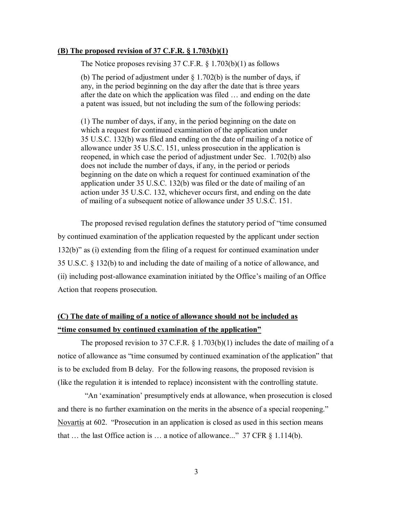## **(B) The proposed revision of 37 C.F.R. § 1.703(b)(1)**

The Notice proposes revising 37 C.F.R. § 1.703(b)(1) as follows

(b) The period of adjustment under  $\S$  1.702(b) is the number of days, if any, in the period beginning on the day after the date that is three years after the date on which the application was filed … and ending on the date a patent was issued, but not including the sum of the following periods:

(1) The number of days, if any, in the period beginning on the date on which a request for continued examination of the application under 35 U.S.C. 132(b) was filed and ending on the date of mailing of a notice of allowance under 35 U.S.C. 151, unless prosecution in the application is reopened, in which case the period of adjustment under Sec. 1.702(b) also does not include the number of days, if any, in the period or periods beginning on the date on which a request for continued examination of the application under 35 U.S.C. 132(b) was filed or the date of mailing of an action under 35 U.S.C. 132, whichever occurs first, and ending on the date of mailing of a subsequent notice of allowance under 35 U.S.C. 151.

The proposed revised regulation defines the statutory period of "time consumed by continued examination of the application requested by the applicant under section 132(b)" as (i) extending from the filing of a request for continued examination under 35 U.S.C. § 132(b) to and including the date of mailing of a notice of allowance, and (ii) including post-allowance examination initiated by the Office's mailing of an Office Action that reopens prosecution.

# **(C) The date of mailing of a notice of allowance should not be included as "time consumed by continued examination of the application"**

The proposed revision to 37 C.F.R. § 1.703(b)(1) includes the date of mailing of a notice of allowance as "time consumed by continued examination of the application" that is to be excluded from B delay. For the following reasons, the proposed revision is (like the regulation it is intended to replace) inconsistent with the controlling statute.

 "An 'examination' presumptively ends at allowance, when prosecution is closed and there is no further examination on the merits in the absence of a special reopening." Novartis at 602. "Prosecution in an application is closed as used in this section means that ... the last Office action is ... a notice of allowance..." 37 CFR  $\S$  1.114(b).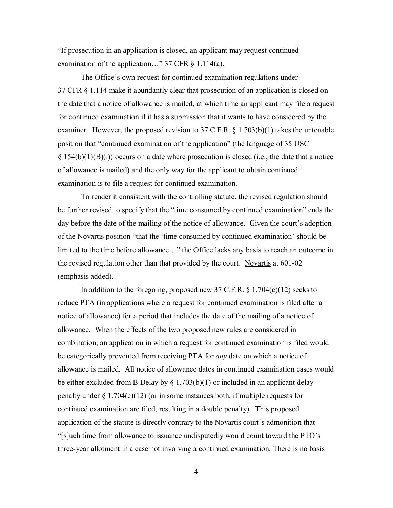"If prosecution in an application is closed, an applicant may request continued examination of the application…" 37 CFR § 1.114(a).

The Office's own request for continued examination regulations under 37 CFR § 1.114 make it abundantly clear that prosecution of an application is closed on the date that a notice of allowance is mailed, at which time an applicant may file a request for continued examination if it has a submission that it wants to have considered by the examiner. However, the proposed revision to 37 C.F.R. § 1.703(b)(1) takes the untenable position that "continued examination of the application" (the language of 35 USC  $\S$  154(b)(1)(B)(i)) occurs on a date where prosecution is closed (i.e., the date that a notice of allowance is mailed) and the only way for the applicant to obtain continued examination is to file a request for continued examination.

To render it consistent with the controlling statute, the revised regulation should be further revised to specify that the "time consumed by continued examination" ends the day before the date of the mailing of the notice of allowance. Given the court's adoption of the Novartis position "that the 'time consumed by continued examination' should be limited to the time before allowance…" the Office lacks any basis to reach an outcome in the revised regulation other than that provided by the court. Novartis at 601-02 (emphasis added).

In addition to the foregoing, proposed new 37 C.F.R.  $\S 1.704(c)(12)$  seeks to reduce PTA (in applications where a request for continued examination is filed after a notice of allowance) for a period that includes the date of the mailing of a notice of allowance. When the effects of the two proposed new rules are considered in combination, an application in which a request for continued examination is filed would be categorically prevented from receiving PTA for *any* date on which a notice of allowance is mailed. All notice of allowance dates in continued examination cases would be either excluded from B Delay by  $\S 1.703(b)(1)$  or included in an applicant delay penalty under  $\S 1.704(c)(12)$  (or in some instances both, if multiple requests for continued examination are filed, resulting in a double penalty). This proposed application of the statute is directly contrary to the Novartis court's admonition that "[s]uch time from allowance to issuance undisputedly would count toward the PTO's three-year allotment in a case not involving a continued examination. There is no basis

4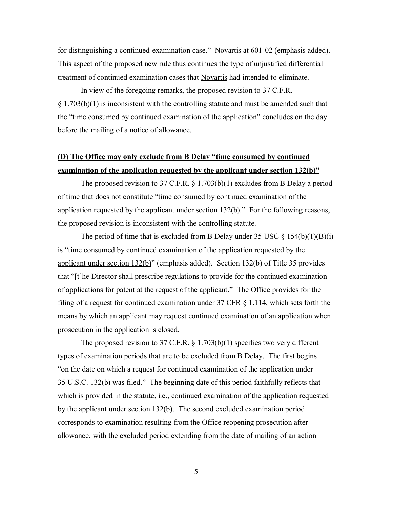for distinguishing a continued-examination case." Novartis at 601-02 (emphasis added). This aspect of the proposed new rule thus continues the type of unjustified differential treatment of continued examination cases that Novartis had intended to eliminate.

In view of the foregoing remarks, the proposed revision to 37 C.F.R.  $§ 1.703(b)(1)$  is inconsistent with the controlling statute and must be amended such that the "time consumed by continued examination of the application" concludes on the day before the mailing of a notice of allowance.

# **(D) The Office may only exclude from B Delay "time consumed by continued examination of the application requested by the applicant under section 132(b)"**

The proposed revision to 37 C.F.R. § 1.703(b)(1) excludes from B Delay a period of time that does not constitute "time consumed by continued examination of the application requested by the applicant under section 132(b)." For the following reasons, the proposed revision is inconsistent with the controlling statute.

The period of time that is excluded from B Delay under 35 USC  $\S$  154(b)(1)(B)(i) is "time consumed by continued examination of the application requested by the applicant under section 132(b)" (emphasis added). Section 132(b) of Title 35 provides that "[t]he Director shall prescribe regulations to provide for the continued examination of applications for patent at the request of the applicant." The Office provides for the filing of a request for continued examination under 37 CFR § 1.114, which sets forth the means by which an applicant may request continued examination of an application when prosecution in the application is closed.

The proposed revision to 37 C.F.R.  $\S 1.703(b)(1)$  specifies two very different types of examination periods that are to be excluded from B Delay. The first begins "on the date on which a request for continued examination of the application under 35 U.S.C. 132(b) was filed." The beginning date of this period faithfully reflects that which is provided in the statute, i.e., continued examination of the application requested by the applicant under section 132(b). The second excluded examination period corresponds to examination resulting from the Office reopening prosecution after allowance, with the excluded period extending from the date of mailing of an action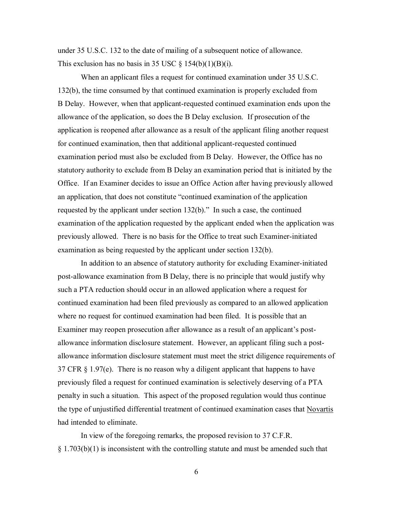under 35 U.S.C. 132 to the date of mailing of a subsequent notice of allowance. This exclusion has no basis in 35 USC  $\S$  154(b)(1)(B)(i).

When an applicant files a request for continued examination under 35 U.S.C. 132(b), the time consumed by that continued examination is properly excluded from B Delay. However, when that applicant-requested continued examination ends upon the allowance of the application, so does the B Delay exclusion. If prosecution of the application is reopened after allowance as a result of the applicant filing another request for continued examination, then that additional applicant-requested continued examination period must also be excluded from B Delay. However, the Office has no statutory authority to exclude from B Delay an examination period that is initiated by the Office. If an Examiner decides to issue an Office Action after having previously allowed an application, that does not constitute "continued examination of the application requested by the applicant under section 132(b)." In such a case, the continued examination of the application requested by the applicant ended when the application was previously allowed. There is no basis for the Office to treat such Examiner-initiated examination as being requested by the applicant under section 132(b).

In addition to an absence of statutory authority for excluding Examiner-initiated post-allowance examination from B Delay, there is no principle that would justify why such a PTA reduction should occur in an allowed application where a request for continued examination had been filed previously as compared to an allowed application where no request for continued examination had been filed. It is possible that an Examiner may reopen prosecution after allowance as a result of an applicant's postallowance information disclosure statement. However, an applicant filing such a postallowance information disclosure statement must meet the strict diligence requirements of 37 CFR  $\S$  1.97(e). There is no reason why a diligent applicant that happens to have previously filed a request for continued examination is selectively deserving of a PTA penalty in such a situation. This aspect of the proposed regulation would thus continue the type of unjustified differential treatment of continued examination cases that Novartis had intended to eliminate.

In view of the foregoing remarks, the proposed revision to 37 C.F.R.  $\S 1.703(b)(1)$  is inconsistent with the controlling statute and must be amended such that

6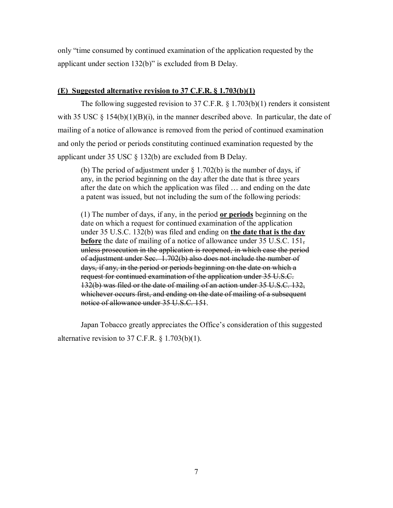only "time consumed by continued examination of the application requested by the applicant under section 132(b)" is excluded from B Delay.

#### **(E) Suggested alternative revision to 37 C.F.R. § 1.703(b)(1)**

The following suggested revision to 37 C.F.R. § 1.703(b)(1) renders it consistent with 35 USC  $\S$  154(b)(1)(B)(i), in the manner described above. In particular, the date of mailing of a notice of allowance is removed from the period of continued examination and only the period or periods constituting continued examination requested by the applicant under 35 USC § 132(b) are excluded from B Delay.

(b) The period of adjustment under  $\S 1.702(b)$  is the number of days, if any, in the period beginning on the day after the date that is three years after the date on which the application was filed … and ending on the date a patent was issued, but not including the sum of the following periods:

(1) The number of days, if any, in the period **or periods** beginning on the date on which a request for continued examination of the application under 35 U.S.C. 132(b) was filed and ending on **the date that is the day before** the date of mailing of a notice of allowance under 35 U.S.C. 151, unless prosecution in the application is reopened, in which case the period of adjustment under Sec. 1.702(b) also does not include the number of days, if any, in the period or periods beginning on the date on which a request for continued examination of the application under 35 U.S.C. 132(b) was filed or the date of mailing of an action under 35 U.S.C. 132, whichever occurs first, and ending on the date of mailing of a subsequent notice of allowance under 35 U.S.C. 151.

Japan Tobacco greatly appreciates the Office's consideration of this suggested alternative revision to 37 C.F.R.  $\S$  1.703(b)(1).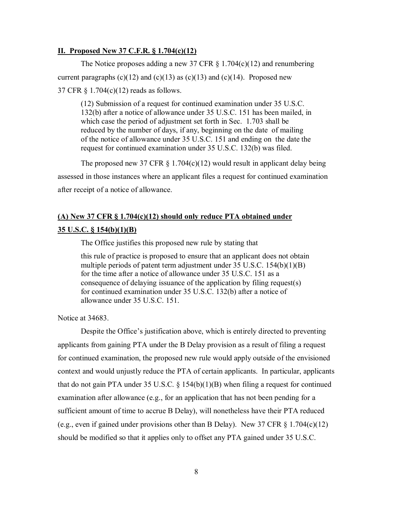# **II. Proposed New 37 C.F.R. § 1.704(c)(12)**

The Notice proposes adding a new 37 CFR  $\S$  1.704(c)(12) and renumbering current paragraphs  $(c)(12)$  and  $(c)(13)$  as  $(c)(13)$  and  $(c)(14)$ . Proposed new 37 CFR § 1.704(c)(12) reads as follows.

(12) Submission of a request for continued examination under 35 U.S.C. 132(b) after a notice of allowance under 35 U.S.C. 151 has been mailed, in which case the period of adjustment set forth in Sec. 1.703 shall be reduced by the number of days, if any, beginning on the date of mailing of the notice of allowance under 35 U.S.C. 151 and ending on the date the request for continued examination under 35 U.S.C. 132(b) was filed.

The proposed new 37 CFR  $\S 1.704(c)(12)$  would result in applicant delay being assessed in those instances where an applicant files a request for continued examination after receipt of a notice of allowance.

# **(A) New 37 CFR § 1.704(c)(12) should only reduce PTA obtained under 35 U.S.C. § 154(b)(1)(B)**

The Office justifies this proposed new rule by stating that

this rule of practice is proposed to ensure that an applicant does not obtain multiple periods of patent term adjustment under 35 U.S.C. 154(b)(1)(B) for the time after a notice of allowance under 35 U.S.C. 151 as a consequence of delaying issuance of the application by filing request(s) for continued examination under 35 U.S.C. 132(b) after a notice of allowance under 35 U.S.C. 151.

Notice at 34683.

Despite the Office's justification above, which is entirely directed to preventing applicants from gaining PTA under the B Delay provision as a result of filing a request for continued examination, the proposed new rule would apply outside of the envisioned context and would unjustly reduce the PTA of certain applicants. In particular, applicants that do not gain PTA under 35 U.S.C.  $\S$  154(b)(1)(B) when filing a request for continued examination after allowance (e.g., for an application that has not been pending for a sufficient amount of time to accrue B Delay), will nonetheless have their PTA reduced (e.g., even if gained under provisions other than B Delay). New 37 CFR  $\S$  1.704(c)(12) should be modified so that it applies only to offset any PTA gained under 35 U.S.C.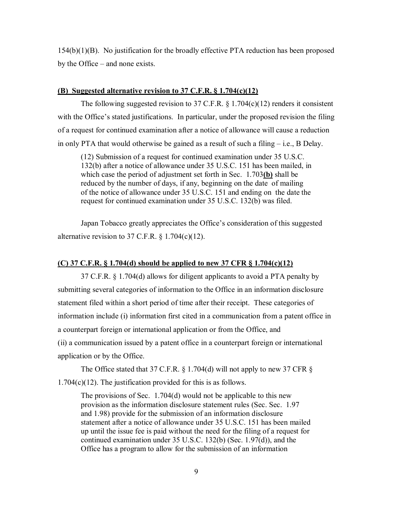154(b)(1)(B). No justification for the broadly effective PTA reduction has been proposed by the Office – and none exists.

#### **(B) Suggested alternative revision to 37 C.F.R. § 1.704(c)(12)**

The following suggested revision to 37 C.F.R.  $\S 1.704(c)(12)$  renders it consistent with the Office's stated justifications. In particular, under the proposed revision the filing of a request for continued examination after a notice of allowance will cause a reduction in only PTA that would otherwise be gained as a result of such a filing – i.e., B Delay.

(12) Submission of a request for continued examination under 35 U.S.C. 132(b) after a notice of allowance under 35 U.S.C. 151 has been mailed, in which case the period of adjustment set forth in Sec. 1.703**(b)** shall be reduced by the number of days, if any, beginning on the date of mailing of the notice of allowance under 35 U.S.C. 151 and ending on the date the request for continued examination under 35 U.S.C. 132(b) was filed.

Japan Tobacco greatly appreciates the Office's consideration of this suggested alternative revision to 37 C.F.R.  $\S 1.704(c)(12)$ .

## **(C) 37 C.F.R. § 1.704(d) should be applied to new 37 CFR § 1.704(c)(12)**

37 C.F.R. § 1.704(d) allows for diligent applicants to avoid a PTA penalty by submitting several categories of information to the Office in an information disclosure statement filed within a short period of time after their receipt. These categories of information include (i) information first cited in a communication from a patent office in a counterpart foreign or international application or from the Office, and (ii) a communication issued by a patent office in a counterpart foreign or international application or by the Office.

The Office stated that 37 C.F.R. § 1.704(d) will not apply to new 37 CFR § 1.704(c)(12). The justification provided for this is as follows.

The provisions of Sec. 1.704(d) would not be applicable to this new provision as the information disclosure statement rules (Sec. Sec. 1.97 and 1.98) provide for the submission of an information disclosure statement after a notice of allowance under 35 U.S.C. 151 has been mailed up until the issue fee is paid without the need for the filing of a request for continued examination under 35 U.S.C. 132(b) (Sec. 1.97(d)), and the Office has a program to allow for the submission of an information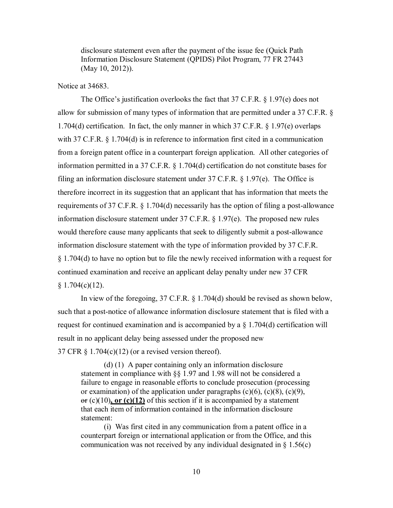disclosure statement even after the payment of the issue fee (Quick Path Information Disclosure Statement (QPIDS) Pilot Program, 77 FR 27443 (May 10, 2012)).

## Notice at 34683

The Office's justification overlooks the fact that 37 C.F.R. § 1.97(e) does not allow for submission of many types of information that are permitted under a 37 C.F.R. § 1.704(d) certification. In fact, the only manner in which 37 C.F.R. § 1.97(e) overlaps with 37 C.F.R. § 1.704(d) is in reference to information first cited in a communication from a foreign patent office in a counterpart foreign application. All other categories of information permitted in a 37 C.F.R. § 1.704(d) certification do not constitute bases for filing an information disclosure statement under 37 C.F.R. § 1.97(e). The Office is therefore incorrect in its suggestion that an applicant that has information that meets the requirements of 37 C.F.R. § 1.704(d) necessarily has the option of filing a post-allowance information disclosure statement under 37 C.F.R. § 1.97(e). The proposed new rules would therefore cause many applicants that seek to diligently submit a post-allowance information disclosure statement with the type of information provided by 37 C.F.R. § 1.704(d) to have no option but to file the newly received information with a request for continued examination and receive an applicant delay penalty under new 37 CFR  $§ 1.704(c)(12).$ 

In view of the foregoing, 37 C.F.R. § 1.704(d) should be revised as shown below, such that a post-notice of allowance information disclosure statement that is filed with a request for continued examination and is accompanied by a  $\S 1.704(d)$  certification will result in no applicant delay being assessed under the proposed new 37 CFR  $\S 1.704(c)(12)$  (or a revised version thereof).

(d) (1) A paper containing only an information disclosure statement in compliance with §§ 1.97 and 1.98 will not be considered a failure to engage in reasonable efforts to conclude prosecution (processing or examination) of the application under paragraphs  $(c)(6)$ ,  $(c)(8)$ ,  $(c)(9)$ ,  $er(c)(10)$ , or  $(c)(12)$  of this section if it is accompanied by a statement that each item of information contained in the information disclosure statement:

(i) Was first cited in any communication from a patent office in a counterpart foreign or international application or from the Office, and this communication was not received by any individual designated in  $\S$  1.56(c)